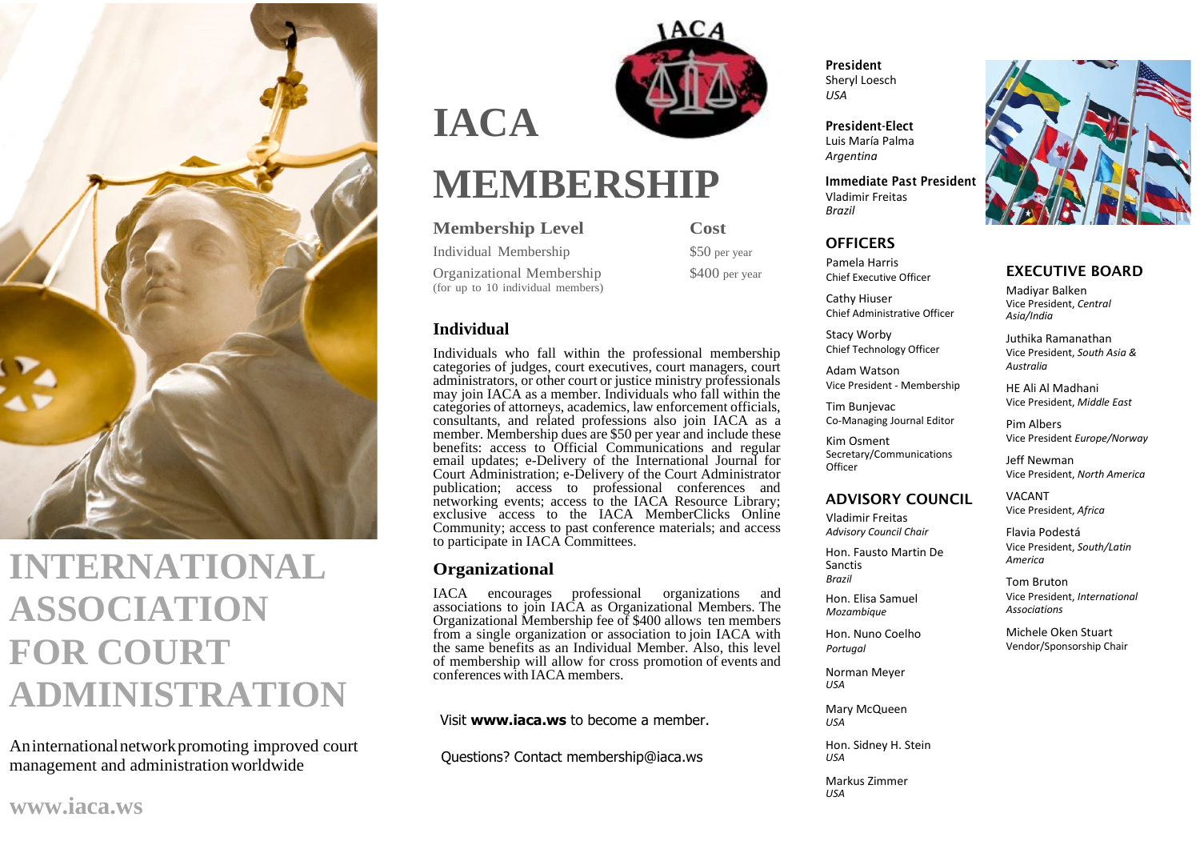

## **INTERNATIONAL ASSOCIATION FOR COURT ADMINISTRATION**

Aninternationalnetworkpromoting improved court management and administrationworldwide

# **IACA**



## **MEMBERSHIP**

#### **Membership Level Cost**

Individual Membership \$50 per year

Organizational Membership \$400 per year (for up to 10 individual members)

**Individual**

Individuals who fall within the professional membership categories of judges, court executives, court managers, court administrators, or other court or justice ministry professionals may join IACA as a member. Individuals who fall within the categories of attorneys, academics, law enforcement officials, consultants, and related professions also join IACA as a member. Membership dues are \$50 per year and include these benefits: access to Official Communications and regular email updates; e-Delivery of the International Journal for Court Administration; e-Delivery of the Court Administrator publication; access to professional conferences and networking events; access to the IACA Resource Library; exclusive access to the IACA MemberClicks Online Community; access to past conference materials; and access to participate in IACA Committees.

#### **Organizational**

IACA encourages professional organizations and associations to join IACA as Organizational Members. The Organizational Membership fee of \$400 allows ten members from a single organization or association to join IACA with the same benefits as an Individual Member. Also, this level of membership will allow for cross promotion of events and conferences with IACA members.

Visit **[www.iaca.ws](https://www.iaca.ws/)** to become a member.

Questions? Contact [membership@iaca.ws](mailto:membership@iaca.ws)

President Sheryl Loesch *USA*

President-Elect Luis María Palma *Argentina*

Immediate Past President Vladimir Freitas *Brazil*

#### **OFFICERS**

Pamela Harris Chief Executive Officer

Cathy Hiuser Chief Administrative Officer

Stacy Worby Chief Technology Officer

Adam Watson Vice President - Membership

Tim Bunjevac Co-Managing Journal Editor

Kim Osment Secretary/Communications **Officer** 

#### ADVISORY COUNCIL

Vladimir Freitas *Advisory Council Chair*

Hon. Fausto Martin De Sanctis *Brazil*

Hon. Elisa Samuel *Mozambique*

Hon. Nuno Coelho *Portugal*

Norman Meyer *USA*

Mary McQueen *USA*

Hon. Sidney H. Stein *USA*

Markus Zimmer *USA*



#### EXECUTIVE BOARD

Madiyar Balken Vice President, *Central Asia/India*

Juthika Ramanathan Vice President, *South Asia & Australia*

HE Ali Al Madhani Vice President, *Middle East*

Pim Albers Vice President *Europe/Norway*

Jeff Newman Vice President, *North America*

VACANT Vice President, *Africa*

Flavia Podestá Vice President, *South/Latin America*

Tom Bruton Vice President, *International Associations*

Michele Oken Stuart Vendor/Sponsorship Chair